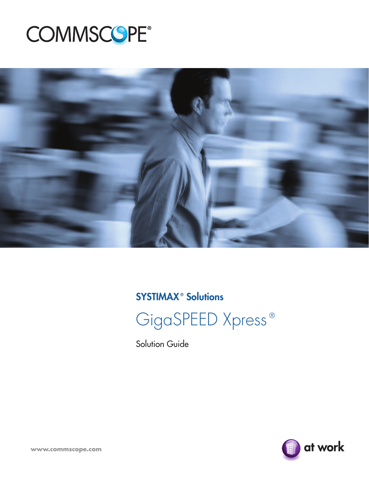# **COMMSCOPE®**



### **SYSTIMAX<sup>®</sup> Solutions**



Solution Guide

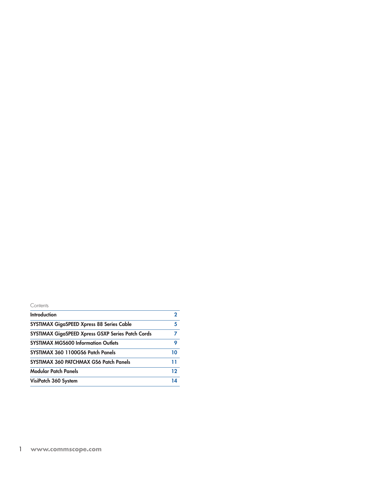| יוזפזמכ<br>╰ |
|--------------|
|--------------|

| Introduction                                      |    |
|---------------------------------------------------|----|
| <b>SYSTIMAX GigaSPEED Xpress 88 Series Cable</b>  | 5  |
| SYSTIMAX GigaSPEED Xpress GSXP Series Patch Cords |    |
| <b>SYSTIMAX MGS600 Information Outlets</b>        | 9  |
| SYSTIMAX 360 1100GS6 Patch Panels                 | 10 |
| SYSTIMAX 360 PATCHMAX GS6 Patch Panels            | 11 |
| <b>Modular Patch Panels</b>                       | 12 |
| VisiPatch 360 System                              | 14 |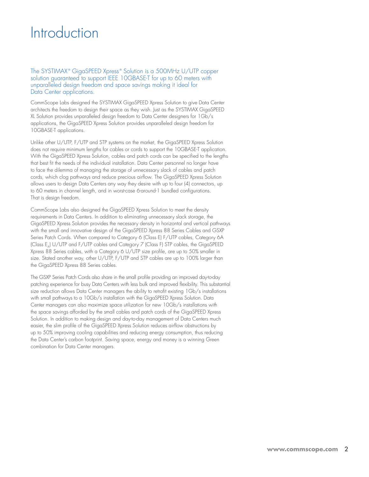### **Introduction**

#### The SYSTIMAX ® GigaSPEED Xpress ® Solution is a 500MHz U/UTP copper solution guaranteed to support IEEE 10GBASE-T for up to 60 meters with unparalleled design freedom and space savings making it ideal for Data Center applications.

CommScope Labs designed the SYSTIMAX GigaSPEED Xpress Solution to give Data Center architects the freedom to design their space as they wish. Just as the SYSTIMAX GigaSPEED XL Solution provides unparalleled design freedom to Data Center designers for 1Gb/s applications, the GigaSPEED Xpress Solution provides unparalleled design freedom for 10GBASE-T applications.

Unlike other U/UTP, F/UTP and STP systems on the market, the GigaSPEED Xpress Solution does not require minimum lengths for cables or cords to support the 10GBASE-T application. With the GigaSPEED Xpress Solution, cables and patch cords can be specified to the lengths that best fit the needs of the individual installation. Data Center personnel no longer have to face the dilemma of managing the storage of unnecessary slack of cables and patch cords, which clog pathways and reduce precious airflow. The GigaSPEED Xpress Solution allows users to design Data Centers any way they desire with up to four (4) connectors, up to 60 meters in channel length, and in worst-case 6-around-1 bundled configurations. That is design freedom.

CommScope Labs also designed the GigaSPEED Xpress Solution to meet the density requirements in Data Centers. In addition to eliminating unnecessary slack storage, the GigaSPEED Xpress Solution provides the necessary density in horizontal and vertical pathways with the small and innovative design of the GigaSPEED Xpress 88 Series Cables and GSXP Series Patch Cords. When compared to Category 6 (Class E) F/UTP cables, Category 6A (Class E<sub>x</sub>) U/UTP and F/UTP cables and Category 7 (Class F) STP cables, the GigaSPEED Xpress 88 Series cables, with a Category 6 U/UTP size profile, are up to 50% smaller in size. Stated another way, other U/UTP, F/UTP and STP cables are up to 100% larger than the GigaSPEED Xpress 88 Series cables.

The GSXP Series Patch Cords also share in the small profile providing an improved day-to-day patching experience for busy Data Centers with less bulk and improved flexibility. This substantial size reduction allows Data Center managers the ability to retrofit existing 1Gb/s installations with small pathways to a 10Gb/s installation with the GigaSPEED Xpress Solution. Data Center managers can also maximize space utilization for new 10Gb/s installations with the space savings afforded by the small cables and patch cords of the GigaSPEED Xpress Solution. In addition to making design and day-to-day management of Data Centers much easier, the slim profile of the GigaSPEED Xpress Solution reduces airflow obstructions by up to 50% improving cooling capabilities and reducing energy consumption, thus reducing the Data Center's carbon footprint. Saving space, energy and money is a winning Green combination for Data Center managers.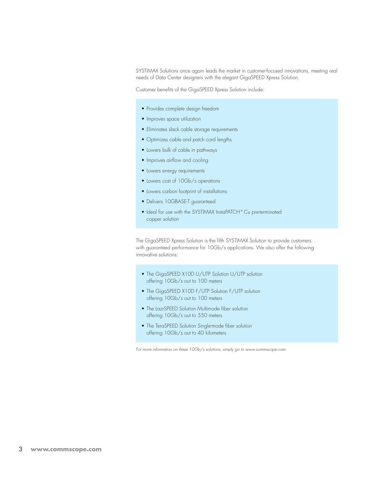SYSTIMAX Solutions once again leads the market in customer-focused innovations, meeting real needs of Data Center designers with the elegant GigaSPEED Xpress Solution.

Customer benefits of the GigaSPEED Xpress Solution include:

- Provides complete design freedom
- Improves space utilization
- • Eliminates slack cable storage requirements
- • Optimizes cable and patch cord lengths
- Lowers bulk of cable in pathways
- Improves airflow and cooling
- Lowers energy requirements
- • Lowers cost of 10Gb/s operations
- • Lowers carbon footprint of installations
- Delivers 10GBASE-T guaranteed
- Ideal for use with the SYSTIMAX InstaPATCH® Cu pre-terminated copper solution

The GigaSPEED Xpress Solution is the fifth SYSTIMAX Solution to provide customers with guaranteed performance for 10Gb/s applications. We also offer the following innovative solutions:

- The GigaSPEED X10D U/UTP Solution U/UTP solution offering 10Gb/s out to 100 meters
- The GigaSPEED X10D F/UTP Solution F/UTP solution offering 10Gb/s out to 100 meters
- The LazrSPEED Solution Multimode fiber solution offering 10Gb/s out to 550 meters
- The TeraSPEED Solution Single-mode fiber solution offering 10Gb/s out to 40 kilometers

*For more information on these 10Gb/s solutions, simply go to www.commscope.com*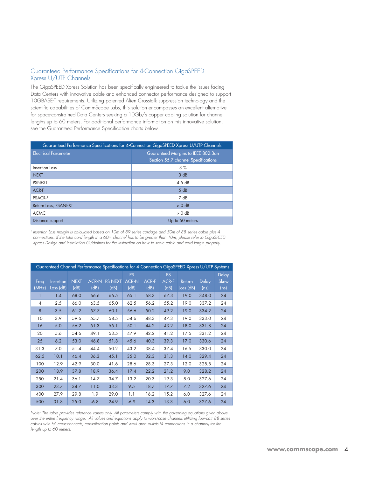#### Guaranteed Performance Specifications for 4-Connection GigaSPEED Xpress U/UTP Channels

The GigaSPEED Xpress Solution has been specifically engineered to tackle the issues facing Data Centers with innovative cable and enhanced connector performance designed to support 10GBASE-T requirements. Utilizing patented Alien Crosstalk suppression technology and the scientific capabilities of CommScope Labs, this solution encompasses an excellent alternative for space-constrained Data Centers seeking a 10Gb/s copper cabling solution for channel lengths up to 60 meters. For additional performance information on this innovative solution, see the Guaranteed Performance Specification charts below.

| Guaranteed Performance Specifications for 4-Connection GigaSPEED Xpress U/UTP Channels' |                                     |  |  |
|-----------------------------------------------------------------------------------------|-------------------------------------|--|--|
| <b>Electrical Parameter</b>                                                             | Guaranteed Margins to IEEE 802.3an  |  |  |
|                                                                                         | Section 55.7 channel Specifications |  |  |
| Insertion Loss                                                                          | 3%                                  |  |  |
| <b>NEXT</b>                                                                             | 3 dB                                |  |  |
| <b>PSNEXT</b>                                                                           | 4.5dB                               |  |  |
| ACR-F                                                                                   | 5 dB                                |  |  |
| <b>PSACR-F</b>                                                                          | 7 dB                                |  |  |
| Return Loss, PSANEXT                                                                    | $> 0$ dB                            |  |  |
| <b>ACMC</b>                                                                             | $> 0$ dB                            |  |  |
| Distance support                                                                        | Up to 60 meters                     |  |  |

*1 Insertion Loss margin is calculated based on 10m of 89 series cordage and 50m of 88 series cable plus 4 connections. If the total cord length in a 60m channel has to be greater than 10m, please refer to GigaSPEED Xpress Design and Installation Guidelines for the instruction on how to scale cable and cord length properly.*

| Guaranteed Channel Performance Specifications for 4-Connection GigaSPEED Xpress U/UTP Systems |           |             |              |                |                           |              |                           |           |              |                   |
|-----------------------------------------------------------------------------------------------|-----------|-------------|--------------|----------------|---------------------------|--------------|---------------------------|-----------|--------------|-------------------|
| Freq                                                                                          | Insertion | <b>NEXT</b> | <b>ACR-N</b> | <b>PS NEXT</b> | <b>PS</b><br><b>ACR-N</b> | <b>ACR-F</b> | <b>PS</b><br><b>ACR-F</b> | Return    | <b>Delay</b> | Delay<br>Skew     |
| (MHz)                                                                                         | Loss (dB) | (dB)        | (dB)         | (dB)           | (dB)                      | (dB)         | (dB)                      | Loss (dB) | (ns)         | (n <sub>s</sub> ) |
|                                                                                               | 1.4       | 68.0        | 66.6         | 66.5           | 65.1                      | 68.3         | 67.3                      | 19.0      | 348.0        | 24                |
| 4                                                                                             | 2.5       | 66.0        | 63.5         | 65.0           | 62.5                      | 56.2         | 55.2                      | 19.0      | 337.2        | 24                |
| 8                                                                                             | 3.5       | 61.2        | 57.7         | 60.1           | 56.6                      | 50.2         | 49.2                      | 19.0      | 334.2        | 24                |
| 10                                                                                            | 3.9       | 59.6        | 55.7         | 58.5           | 54.6                      | 48.3         | 47.3                      | 19.0      | 333.0        | 24                |
| 16                                                                                            | 5.0       | 56.2        | 51.3         | 55.1           | 50.1                      | 44.2         | 43.2                      | 18.0      | 331.8        | 24                |
| 20                                                                                            | 5.6       | 54.6        | 49.1         | 53.5           | 47.9                      | 42.2         | 41.2                      | 17.5      | 331.2        | 24                |
| 25                                                                                            | 6.2       | 53.0        | 46.8         | 51.8           | 45.6                      | 40.3         | 39.3                      | 17.0      | 330.6        | 24                |
| 31.3                                                                                          | 7.0       | 51.4        | 44.4         | 50.2           | 43.2                      | 38.4         | 37.4                      | 16.5      | 330.0        | 24                |
| 62.5                                                                                          | 10.1      | 46.4        | 36.3         | 45.1           | 35.0                      | 32.3         | 31.3                      | 14.0      | 329.4        | 24                |
| 100                                                                                           | 12.9      | 42.9        | 30.0         | 41.6           | 28.6                      | 28.3         | 27.3                      | 12.0      | 328.8        | 24                |
| 200                                                                                           | 18.9      | 37.8        | 18.9         | 36.4           | 17.4                      | 22.2         | 21.2                      | 9.0       | 328.2        | 24                |
| 250                                                                                           | 21.4      | 36.1        | 14.7         | 34.7           | 13.2                      | 20.3         | 19.3                      | 8.0       | 327.6        | 24                |
| 300                                                                                           | 23.7      | 34.7        | 11.0         | 33.3           | 9.5                       | 18.7         | 17.7                      | 7.2       | 327.6        | 24                |
| 400                                                                                           | 27.9      | 29.8        | 1.9          | 29.0           | 1.1                       | 16.2         | 15.2                      | 6.0       | 327.6        | 24                |
| 500                                                                                           | 31.8      | 25.0        | $-6.8$       | 24.9           | $-6.9$                    | 14.3         | 13.3                      | 6.0       | 327.6        | 24                |

*Note: The table provides reference values only. All parameters comply with the governing equations given above over the entire frequency range. All values and equations apply to worst-case channels utilizing four-pair 88 series cables with full cross-connects, consolidation points and work area outlets (4 connections in a channel) for the length up to 60 meters.*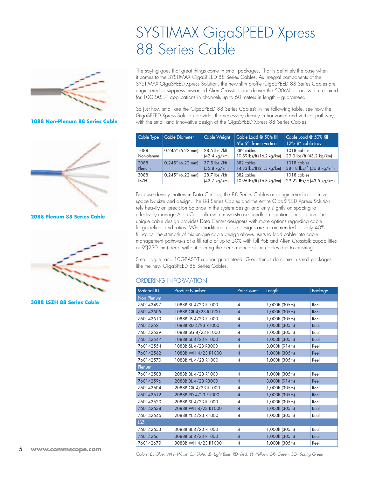

**1088 Non-Plenum 88 Series Cable**



**2088 Plenum 88 Series Cable**



**3088 LSZH 88 Series Cable**

### SYSTIMAX GigaSPEED Xpress 88 Series Cable

The saying goes that great things come in small packages. That is definitely the case when it comes to the SYSTIMAX GigaSPEED 88 Series Cables. As integral components of the SYSTIMAX GigaSPEED Xpress Solution, the new slim profile GigaSPEED 88 Series Cables are engineered to suppress unwanted Alien Crosstalk and deliver the 500MHz bandwidth required for 10GBASE-T applications in channels up to 60 meters in length – guaranteed.

So just how small are the GigaSPEED 88 Series Cables? In the following table, see how the GigaSPEED Xpress Solution provides the necessary density in horizontal and vertical pathways with the small and innovative design of the GigaSPEED Xpress 88 Series Cables.

| Cable Type  | Cable Diameter      | Cable Weight           | Cable Load @ 50% fill<br>$6''$ x 6" frame vertical | Cable Load @ 50% fill<br>12"x 8" cable tray |
|-------------|---------------------|------------------------|----------------------------------------------------|---------------------------------------------|
| 1088        | $0.245''$ (6.22 mm) | 28.5 lbs./kft          | 382 cables                                         | 1018 cables                                 |
| Non-plenum  |                     | $(42.4 \text{ kg/km})$ | 10.89 lbs/ft (16.2 kg/km)                          | 29.0 lbs/ft (43.2 kg/km)                    |
| 2088        | $0.245''$ (6.22 mm) | 37.5 lbs./kft          | 382 cables                                         | 1018 cables                                 |
| Plenum      |                     | $(55.8 \text{ kg/km})$ | 14.33 lbs/ft (21.3 kg/km)                          | 38.18 lbs/ft (56.8 kg/km)                   |
| 3088        | $0.245''$ (6.22 mm) | 28.7 lbs./kft          | 382 cables                                         | 1018 cables                                 |
| <b>LSZH</b> |                     | $(42.7 \text{ kg/km})$ | 10.96 lbs/ft (16.3 kg/km)                          | 29.22 lbs/ft (43.5 kg/km)                   |

Because density matters in Data Centers, the 88 Series Cables are engineered to optimize space by size and design. The 88 Series Cables and the entire GigaSPEED Xpress Solution rely heavily on precision balance in the system design and only slightly on spacing to effectively manage Alien Crosstalk even in worst-case bundled conditions. In addition, the unique cable design provides Data Center designers with more options regarding cable fill guidelines and ratios. While traditional cable designs are recommended for only 40% fill ratios, the strength of this unique cable design allows users to load cable into cable management pathways at a fill ratio of up to 50% with full PoE and Alien Crosstalk capabilities or 9"(230 mm) deep without altering the performance of the cables due to crushing.

Small, agile, and 10GBASE-T support guaranteed. Great things do come in small packages like the new GigaSPEED 88 Series Cables.

#### Ordering Information:

| Material ID | <b>Product Number</b> | <b>Pair Count</b> | Length         | Package |
|-------------|-----------------------|-------------------|----------------|---------|
| Non-Plenum  |                       |                   |                |         |
| 760142497   | 1088B BL 4/23 R1000   | 4                 | 1,000ft (305m) | Reel    |
| 760142505   | 1088B GR 4/23 R1000   | $\overline{4}$    | 1,000ft (305m) | Reel    |
| 760142513   | 1088B LB 4/23 R1000   | 4                 | 1,000ft (305m) | Reel    |
| 760142521   | 1088B RD 4/23 R1000   | $\overline{4}$    | 1,000ft (305m) | Reel    |
| 760142539   | 1088B SG 4/23 R1000   | 4                 | 1,000ft (305m) | Reel    |
| 760142547   | 1088B SL 4/23 R1000   | $\overline{4}$    | 1,000ft (305m) | Reel    |
| 760142554   | 1088B SL 4/23 R3000   | 4                 | 3,000ft (914m) | Reel    |
| 760142562   | 1088B WH 4/23 R1000   | $\overline{4}$    | 1,000ft (305m) | Reel    |
| 760142570   | 1088B YL 4/23 R1000   | 4                 | 1,000ft (305m) | Reel    |
| Plenum      |                       |                   |                |         |
| 760142588   | 2088B BL 4/23 R1000   | 4                 | 1,000ft (305m) | Reel    |
| 760142596   | 2088B BL 4/23 R3000   | $\overline{4}$    | 3,000ft (914m) | Reel    |
| 760142604   | 2088B OR 4/23 R1000   | 4                 | 1,000ft (305m) | Reel    |
| 760142612   | 2088B RD 4/23 R1000   | $\overline{4}$    | 1,000ft (305m) | Reel    |
| 760142620   | 2088B SL 4/23 R1000   | 4                 | 1,000ft (305m) | Reel    |
| 760142638   | 2088B WH 4/23 R1000   | $\overline{4}$    | 1,000ft (305m) | Reel    |
| 760142646   | 2088B YL 4/23 R1000   | 4                 | 1,000ft (305m) | Reel    |
| <b>LSZH</b> |                       |                   |                |         |
| 760142653   | 3088B BL 4/23 R1000   | $\overline{4}$    | 1,000ft (305m) | Reel    |
| 760142661   | 3088B SL 4/23 R1000   | $\overline{4}$    | 1,000ft (305m) | Reel    |
| 760142679   | 3088B WH 4/23 R1000   | 4                 | 1,000ft (305m) | Reel    |

*Colors: BL=Blue, WH=White, SL=Slate, LB=Light Blue, RD=Red, YL=Yellow, GR=Green, SG=Spring Green*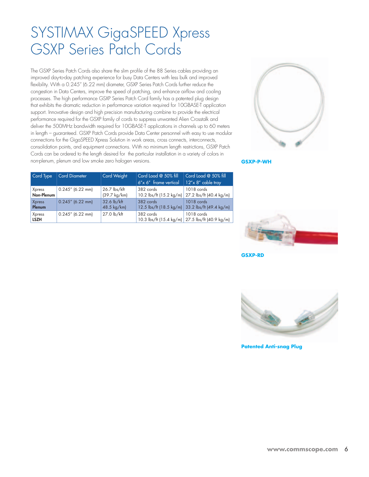### SYSTIMAX GigaSPEED Xpress GSXP Series Patch Cords

The GSXP Series Patch Cords also share the slim profile of the 88 Series cables providing an improved day-to-day patching experience for busy Data Centers with less bulk and improved flexibility. With a 0.245" (6.22 mm) diameter, GSXP Series Patch Cords further reduce the congestion in Data Centers, improve the speed of patching, and enhance airflow and cooling processes. The high performance GSXP Series Patch Cord family has a patented plug design that exhibits the dramatic reduction in performance variation required for 10GBASE-T application support. Innovative design and high precision manufacturing combine to provide the electrical performance required for the GSXP family of cords to suppress unwanted Alien Crosstalk and deliver the 500MHz bandwidth required for 10GBASE-T applications in channels up to 60 meters in length – guaranteed. GSXP Patch Cords provide Data Center personnel with easy to use modular connections for the GigaSPEED Xpress Solution in work areas, cross connects, interconnects, consolidation points, and equipment connections. With no minimum length restrictions, GSXP Patch Cords can be ordered to the length desired for the particular installation in a variety of colors in non-plenum, plenum and low smoke zero halogen versions.



**GSXP-P-WH**

| Cord Type             | <b>Cord Diameter</b> | Cord Weight                            | Cord Load @ 50% fill<br>$6'' \times 6''$ frame vertical | Cord Load @ 50% fill<br>$12''$ x 8" cable tray                                      |
|-----------------------|----------------------|----------------------------------------|---------------------------------------------------------|-------------------------------------------------------------------------------------|
| Xpress<br>Non-Plenum  | $0.245''$ (6.22 mm)  | 26.7 lbs/kft<br>$(39.7 \text{ kg/km})$ | 382 cords                                               | 1018 cords<br>10.2 lbs/ft (15.2 kg/m) 27.2 lbs/ft (40.4 kg/m)                       |
| Xpress<br>Plenum      | $0.245''$ (6.22 mm)  | 32.6 lb/kft<br>48.5 kg/km)             | 382 cords                                               | 1018 cords<br>12.5 lbs/ft (18.5 kg/m) 33.2 lbs/ft (49.4 kg/m)                       |
| Xpress<br><b>LSZH</b> | $0.245''$ (6.22 mm)  | 27.0 lb/kft                            | 382 cords                                               | 1018 cords<br>10.3 lbs/ft (15.4 kg/m) $\frac{27.5 \text{ lbs}}{140.9 \text{ kg/m}}$ |



**GSXP-RD**



**Patented Anti-snag Plug**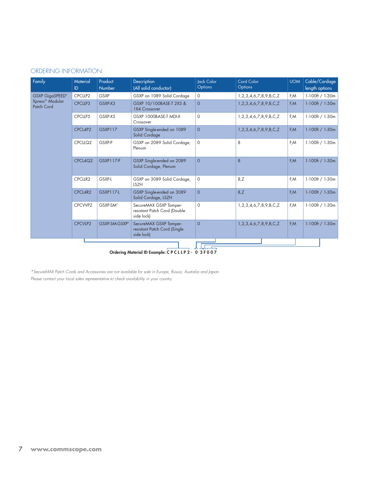#### Ordering information:

| Family                        | Material<br>ID. | Product<br>Number    | <b>Description</b><br>(All solid conductor)                          | <b>Jack Color</b><br>Options | Cord Color<br>Options | <b>UOM</b> | Cable/Cordage<br>length options |
|-------------------------------|-----------------|----------------------|----------------------------------------------------------------------|------------------------------|-----------------------|------------|---------------------------------|
| <b>GSXP GigaSPEED®</b>        | CPCLLP2         | GSXP                 | GSXP on 1089 Solid Cordage                                           | $\circ$                      | 1,2,3,4,6,7,8,9,B,C,Z | F,M        | $1-100$ ft / $1-30$ m           |
| Xpress™ Modular<br>Patch Cord | CPCLLP3         | GSXP-X3              | GSXP 10/100BASE-T 2X3 &<br>1X4 Crossover                             | $\Omega$                     | 1,2,3,4,6,7,8,9,B,C,Z | F,M        | $1-100$ ft / $1-30$ m           |
|                               | CPCLLP5         | GSXP-X5              | GSXP 1000BASE-T MDI-X<br>Crossover                                   | $\circ$                      | 1,2,3,4,6,7,8,9,B,C,Z | F,M        | 1-100ft / 1-30m                 |
|                               | CPCL4P2         | GSXP117              | GSXP Single-ended on 1089<br>Solid Cordage                           | $\Omega$                     | 1,2,3,4,6,7,8,9,B,C,Z | F, M       | $1-100$ ft / $1-30$ m           |
|                               | CPCLLQ2         | GSXP-P               | GSXP on 2089 Solid Cordage,<br>Plenum                                | $\circ$                      | 8                     | F,M        | $1-100$ ft / $1-30$ m           |
|                               | CPCL4Q2         | <b>GSXP117-P</b>     | GSXP Single-ended on 2089<br>Solid Cordage, Plenum                   | $\Omega$                     | 8                     | F,M        | $1-100$ ft / $1-30$ m           |
|                               | CPCLLR2         | GSXP-L               | GSXP on 3089 Solid Cordage,<br><b>LSZH</b>                           | $\circ$                      | 8, Z                  | F,M        | 1-100ft / 1-30m                 |
|                               | CPCL4R2         | <b>GSXP117-L</b>     | GSXP Single-ended on 3089<br>Solid Cordage, LSZH                     | $\Omega$                     | 8,Z                   | F,M        | $1-100$ ft / $1-30$ m           |
|                               | CPCVVP2         | GSXP-SM <sup>®</sup> | SecureMAX GSXP Tamper-<br>resistant Patch Cord (Double<br>side lock) | $\Omega$                     | 1,2,3,4,6,7,8,9,B,C,Z | F,M        | $1-100$ ft / $1-30$ m           |
|                               | <b>CPCVLP2</b>  | GSXP-SM-GSXP"        | SecureMAX GSXP Tamper-<br>resistant Patch Cord (Single<br>side lock) | $\Omega$                     | 1,2,3,4,6,7,8,9,B,C,Z | F, M       | $1-100$ ft / $1-30$ m           |
|                               |                 |                      |                                                                      |                              |                       |            |                                 |

Ordering Material ID Example: C P C L L P 2 - 0 3 F 0 0 7

*\*SecureMAX Patch Cords and Accessories are not available for sale in Europe, Russia, Australia and Japan. Please contact your local sales representative to check availability in your country.*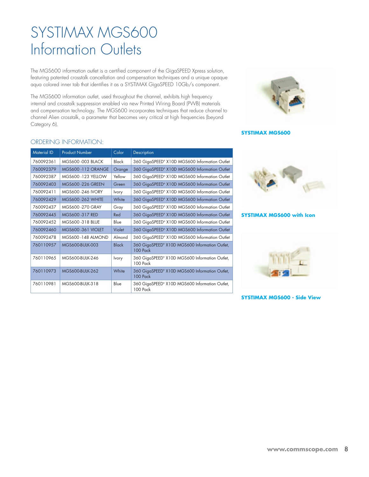### SYSTIMAX MGS600 Information Outlets

The MGS600 information outlet is a certified component of the GigaSPEED Xpress solution, featuring patented crosstalk cancellation and compensation techniques and a unique opaque aqua colored inner tab that identifies it as a SYSTIMAX GigaSPEED 10Gb/s component.

The MGS600 information outlet, used throughout the channel, exhibits high frequency internal and crosstalk suppression enabled via new Printed Wiring Board (PWB) materials and compensation technology. The MGS600 incorporates techniques that reduce channel to channel Alien crosstalk, a parameter that becomes very critical at high frequencies (beyond Category 6).



#### **SYSTIMAX MGS600**

#### Ordering Information:

| <b>Material ID</b> | <b>Product Number</b>     | Color        | Description                                                       |
|--------------------|---------------------------|--------------|-------------------------------------------------------------------|
| 760092361          | <b>MGS600-003 BLACK</b>   | Black        | 360 GigaSPEED® X10D MGS600 Information Outlet                     |
| 760092379          | <b>MGS600 -112 ORANGE</b> | Orange       | 360 GigaSPEED® X10D MGS600 Information Outlet                     |
| 760092387          | <b>MGS600 -123 YELLOW</b> | Yellow       | 360 GigaSPEED® X10D MGS600 Information Outlet                     |
| 760092403          | <b>MGS600-226 GREEN</b>   | Green        | 360 GigaSPEED® X10D MGS600 Information Outlet                     |
| 760092411          | MGS600-246 IVORY          | <b>lvory</b> | 360 GigaSPEED® X10D MGS600 Information Outlet                     |
| 760092429          | <b>MGS600-262 WHITE</b>   | White        | 360 GigaSPEED® X10D MGS600 Information Outlet                     |
| 760092437          | MGS600-270 GRAY           | Gray         | 360 GigaSPEED® X10D MGS600 Information Outlet                     |
| 760092445          | MGS600-317 RED            | Red          | 360 GigaSPEED® X10D MGS600 Information Outlet                     |
| 760092452          | MGS600-318 BLUE           | Blue         | 360 GigaSPEED® X10D MGS600 Information Outlet                     |
| 760092460          | <b>MGS600-361 VIOLET</b>  | Violet       | 360 GigaSPEED® X10D MGS600 Information Outlet                     |
| 760092478          | <b>MGS600-148 ALMOND</b>  | Almond       | 360 GigaSPEED® X10D MGS600 Information Outlet                     |
| 760110957          | <b>MGS600-BULK-003</b>    | <b>Black</b> | 360 GigaSPEED® X10D MGS600 Information Outlet,<br><b>100 Pack</b> |
| 760110965          | MGS600-BULK-246           | <b>lvory</b> | 360 GigaSPEED® X10D MGS600 Information Outlet,<br>100 Pack        |
| 760110973          | <b>MGS600-BULK-262</b>    | White        | 360 GigaSPEED® X10D MGS600 Information Outlet,<br><b>100 Pack</b> |
| 760110981          | MGS600-BULK-318           | Blue         | 360 GigaSPEED® X10D MGS600 Information Outlet,<br>100 Pack        |



#### **SYSTIMAX MGS600 with Icon**



#### **SYSTIMAX MGS600 - Side View**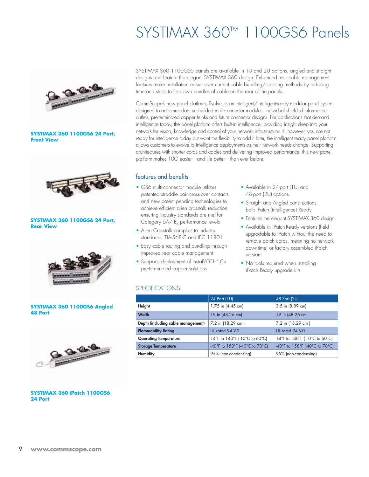### SYSTIMAX 360™ 1100GS6 Panels



#### **SYSTIMAX 360 1100GS6 24 Port, Front View**



#### **SYSTIMAX 360 1100GS6 24 Port, Rear View**



#### **SYSTIMAX 360 1100GS6 Angled 48 Port**



**SYSTIMAX 360 iPatch 1100GS6 24 Port**

SYSTIMAX 360 1100GS6 panels are available in 1U and 2U options, angled and straight designs and feature the elegant SYSTIMAX 360 design. Enhanced rear cable management features make installation easier over current cable bundling/dressing methods by reducing time and steps to tie down bundles of cable on the rear of the panels.

CommScope's new panel platform, Evolve, is an intelligent/intelligent-ready modular panel system designed to accommodate unshielded multi-connector modules, individual shielded information outlets, pre-terminated copper trunks and future connector designs. For applications that demand intelligence today, the panel platform offers built-in intelligence, providing insight deep into your network for vision, knowledge and control of your network infrastructure. If, however, you are not ready for intelligence today but want the flexibility to add it later, the intelligent ready panel platform allows customers to evolve to intelligence deployments as their network needs change. Supporting architectures with shorter cords and cables and delivering improved performance, this new panel platform makes 10G easier – and life better – than ever before.

#### features and benefits

- GS6 multi-connector module utilizes patented straddle pair cross-over contacts and new patent pending technologies to achieve efficient alien crosstalk reduction ensuring industry standards are met for Category 6A/ E<sub>A</sub> performance levels
- Alien Crosstalk complies to Industry standards; TIA-568-C and IEC 11801
- Easy cable routing and bundling through improved rear cable management
- Supports deployment of InstaPATCH® Cu pre-terminated copper solutions
- Available in 24-port (1U) and 48-port (2U) options
- Straight and Angled constructions, both iPatch (intelligence) Ready
- Features the elegant SYSTIMAX 360 design
- Available in iPatch-Ready versions (field upgradable to iPatch without the need to remove patch cords, meaning no network downtime) or factory assembled iPatch versions
- No tools required when installing iPatch Ready upgrade kits

#### **SPECIFICATIONS**

|                                    | 24 Port (1U)                   | 48 Port (2U)                   |
|------------------------------------|--------------------------------|--------------------------------|
| Height                             | 1.75 in (4.45 cm)              | 3.5 in (8.89 cm)               |
| Width                              | 19 in (48.26 cm)               | 19 in (48.26 cm)               |
| Depth (including cable management) | 7.2 in (18.29 cm)              | 7.2 in (18.29 cm)              |
| <b>Flammability Rating</b>         | UL rated 94 V-0                | UL rated 94 V-0                |
| <b>Operating Temperature</b>       | 14°F to 140°F (-10°C to 60°C)  | 14°F to 140°F (-10°C to 60°C)  |
| <b>Storage Temperature</b>         | -40°F to 158°F (-40°C to 70°C) | -40°F to 158°F (-40°C to 70°C) |
| <b>Humidity</b>                    | 95% (non-condensing)           | 95% (non-condensing)           |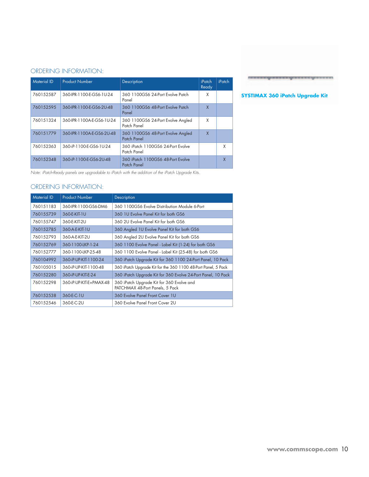#### Ordering Information:

| <b>Material ID</b> | <b>Product Number</b>     | <b>Description</b>                               | iPatch<br>Ready | iPatch |
|--------------------|---------------------------|--------------------------------------------------|-----------------|--------|
| 760152587          | 360-IPR-1100-E-GS6-1U-24  | 360 1100GS6 24-Port Evolve Patch<br>Panel        | χ               |        |
| 760152595          | 360-IPR-1100-E-GS6-2U-48  | 360 1100GS6 48-Port Evolve Patch<br>Panel        | X               |        |
| 760151324          | 360-IPR-1100A-E-GS6-1U-24 | 360 1100GS6 24-Port Evolve Angled<br>Patch Panel | X               |        |
| 760151779          | 360-IPR-1100A-E-GS6-2U-48 | 360 1100GS6 48-Port Evolve Angled<br>Patch Panel | $\sf X$         |        |
| 760152363          | 360-iP-1100-E-GS6-1U-24   | 360 iPatch 1100GS6 24-Port Evolve<br>Patch Panel |                 | X      |
| 760152348          | 360-iP-1100-E-GS6-2U-48   | 360 iPatch 1100GS6 48-Port Evolve<br>Patch Panel |                 | χ      |

*Note: iPatch-Ready panels are upgradable to iPatch with the addition of the iPatch Upgrade Kits.*

#### Ordering Information:

| <b>Material ID</b> | <b>Product Number</b>   | Description                                                                  |
|--------------------|-------------------------|------------------------------------------------------------------------------|
| 760151183          | 360-IPR-1100-GS6-DM6    | 360 1100GS6 Evolve Distribution Module 6-Port                                |
| 760155739          | 360-E-KIT-1U            | 360 TU Evolve Panel Kit for both GS6                                         |
| 760155747          | 360-E-KIT-2U            | 360 2U Evolve Panel Kit for both GS6                                         |
| 760152785          | 360-A-E-KIT-1U          | 360 Angled 1U Evolve Panel Kit for both GS6                                  |
| 760152793          | 360-A-E-KIT-2U          | 360 Angled 2U Evolve Panel Kit for both GS6                                  |
| 760152769          | 360-1100-LKP-1-24       | 360 1100 Evolve Panel - Label Kit (1-24) for both GS6                        |
| 760152777          | 360-1100-LKP-25-48      | 360 1100 Evolve Panel - Label Kit (25-48) for both GS6                       |
| 760104992          | 360-iP-UP-KIT-1100-24   | 360 iPatch Upgrade Kit for 360 1100 24-Port Panel, 10 Pack                   |
| 760105015          | 360-iP-UP-KIT-1100-48   | 360 iPatch Upgrade Kit for the 360 1100 48-Port Panel, 5 Pack                |
| 760152280          | 360-iP-UP-KIT-E-24      | 360 iPatch Upgrade Kit for 360 Evolve 24-Port Panel, 10 Pack                 |
| 760152298          | 360-iP-UP-KIT-E+PMAX-48 | 360 iPatch Upgrade Kit for 360 Evolve and<br>PATCHMAX 48-Port Panels, 5 Pack |
| 760152538          | 360-E-C-1U              | 360 Evolve Panel Front Cover 1U                                              |
| 760152546          | 360-E-C-2U              | 360 Evolve Panel Front Cover 2U                                              |



### **SYSTIMAX 360 iPatch Upgrade Kit**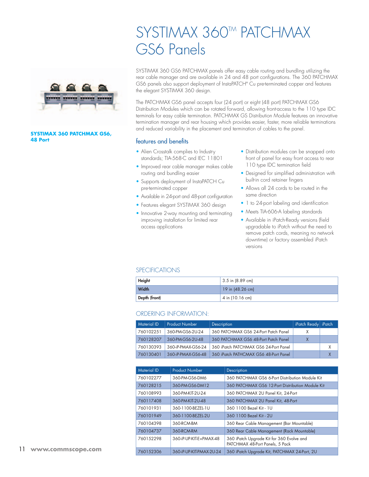

#### **SYSTIMAX 360 PATCHMAX GS6, 48 Port** *features and benefits*

### SYSTIMAX 360<sup>TM</sup> PATCHMAX GS6 Panels

SYSTIMAX 360 GS6 PATCHMAX panels offer easy cable routing and bundling utilizing the rear cable manager and are available in 24 and 48 port configurations. The 360 PATCHMAX GS6 panels also support deployment of InstaPATCH® Cu pre-terminated copper and features the elegant SYSTIMAX 360 design.

The PATCHMAX GS6 panel accepts four (24 port) or eight (48 port) PATCHMAX GS6 Distribution Modules which can be rotated forward, allowing front-access to the 110 type IDC terminals for easy cable termination. PATCHMAX GS Distribution Module features an innovative termination manager and rear housing which provides easier, faster, more reliable terminations and reduced variability in the placement and termination of cables to the panel.

- Alien Crosstalk complies to Industry standards; TIA-568-C and IEC 11801
- Improved rear cable manager makes cable routing and bundling easier
- Supports deployment of InstaPATCH Cu pre-terminated copper
- Available in 24-port and 48-port configuration
- Features elegant SYSTIMAX 360 design
- Innovative 2-way mounting and terminating improving installation for limited rear access applications
- Distribution modules can be snapped onto front of panel for easy front access to rear 110 type IDC termination field
- Designed for simplified administration with built-in cord retainer fingers
- Allows all 24 cords to be routed in the same direction
- 1 to 24-port labeling and identification
- Meets TIA-606-A labeling standards
- Available in iPatch-Ready versions (field upgradable to iPatch without the need to remove patch cords, meaning no network downtime) or factory assembled iPatch versions

#### **SPECIFICATIONS**

| Height        | $3.5$ in (8.89 cm) |
|---------------|--------------------|
| Width         | $19$ in (48.26 cm) |
| Depth (front) | $4$ in (10.16 cm)  |

#### Ordering Information:

| <b>Material ID</b> | <b>Product Number</b> | Description                           | iPatch Ready   iPatch |   |
|--------------------|-----------------------|---------------------------------------|-----------------------|---|
| 760102251          | 360-PM-GS6-2U-24      | 360 PATCHMAX GS6 24-Port Patch Panel  |                       |   |
| 760128207          | 360-PM-GS6-2U-48      | 360 PATCHMAX GS6 48-Port Patch Panel  | X                     |   |
| 760130393          | 360-iP-PMAX-GS6-24    | 360 iPatch PATCHMAX GS6 24-Port Panel |                       | X |
| 760130401          | 360-iP-PMAX-GS6-48    | 360 iPatch PATHCMAX GS6 48-Port Panel |                       | χ |

| <b>Material ID</b> | <b>Product Number</b>    | Description                                                                  |
|--------------------|--------------------------|------------------------------------------------------------------------------|
| 760102277          | 360-PM-GS6-DM6           | 360 PATCHMAX GS6 6-Port Distribution Module Kit                              |
| 760128215          | 360-PM-GS6-DM12          | 360 PATCHMAX GS6 12-Port Distribution Module Kit                             |
| 760108993          | 360-PM-KIT-2U-24         | 360 PATCHMAX 2U Panel Kit, 24-Port                                           |
| 760117408          | 360-PM-KIT-2U-48         | 360 PATCHMAX 2U Panel Kit, 48-Port                                           |
| 760101931          | 360-1100-BEZEL-1U        | 360 1100 Bezel Kit - 1U                                                      |
| 760101949          | 360-1100-BEZEL-2U        | 360 1100 Bezel Kit - 2U                                                      |
| 760104398          | 360-RCM-BM               | 360 Rear Cable Management (Bar Mountable)                                    |
| 760104737          | 360-RCM-RM               | 360 Rear Cable Management (Rack Mountable)                                   |
| 760152298          | 360-iP-UP-KIT-E+PMAX-48  | 360 iPatch Upgrade Kit for 360 Evolve and<br>PATCHMAX 48-Port Panels, 5 Pack |
| 760152306          | 360-iP-UP-KIT-PMAX-2U-24 | 360 iPatch Upgrade Kit, PATCHMAX 24-Port, 2U                                 |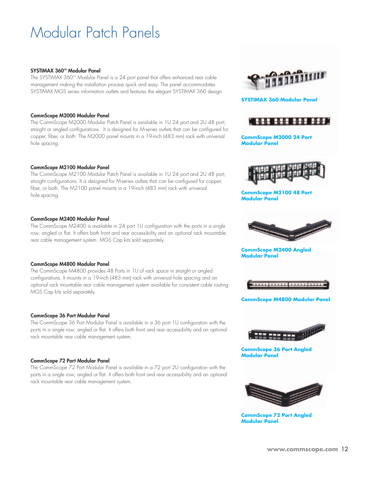### Modular Patch Panels

#### SYSTIMAX 360™ Modular Panel

The SYSTIMAX 360<sup>tm</sup> Modular Panel is a 24 port panel that offers enhanced rear cable management making the installation process quick and easy. The panel accommodates SYSTIMAX MGS series information outlets and features the elegant SYSTIMAX 360 design.

#### CommScope M2000 Modular Panel

The CommScope M2000 Modular Patch Panel is available in 1U 24 port and 2U 48 port, straight or angled configurations. It is designed for M-series outlets that can be configured for copper, fiber, or both. The M2000 panel mounts in a 19-inch (483 mm) rack with universal hole spacing.

#### CommScope M2100 Modular Panel

The CommScope M2100 Modular Patch Panel is available in 1U 24 port and 2U 48 port, straight configurations. It is designed for M-series outlets that can be configured for copper, fiber, or both. The M2100 panel mounts in a 19-inch (483 mm) rack with universal hole spacing.

#### CommScope M2400 Modular Panel

The CommScope M2400 is available in 24 port 1U configuration with the ports in a single row; angled or flat. It offers both front and rear accessibility and an optional rack mountable rear cable management system. MGS Cap kits sold separately.

#### CommScope M4800 Modular Panel

The CommScope M4800 provides 48 Ports in 1U of rack space in straight or angled configurations. It mounts in a 19-inch (483 mm) rack with universal hole spacing and an optional rack mountable rear cable management system available for consistent cable routing. MGS Cap kits sold separately.

#### CommScope 36 Port Modular Panel

The CommScope 36 Port Modular Panel is available in a 36 port 1U configuration with the ports in a single row; angled or flat. It offers both front and rear accessibility and an optional rack mountable rear cable management system.

#### CommScope 72 Port Modular Panel

The CommScope 72 Port Modular Panel is available in a 72 port 2U configuration with the ports in a single row; angled or flat. It offers both front and rear accessibility and an optional rack mountable rear cable management system.



#### **SYSTIMAX 360 Modular Panel**



**CommScope M2000 24 Port Modular Panel**



**CommScope M2100 48 Port Modular Panel**



**CommScope M2400 Angled Modular Panel** 



#### **CommScope M4800 Modular Panel**



**CommScope 36 Port Angled Modular Panel**



**CommScope 72 Port Angled Modular Panel**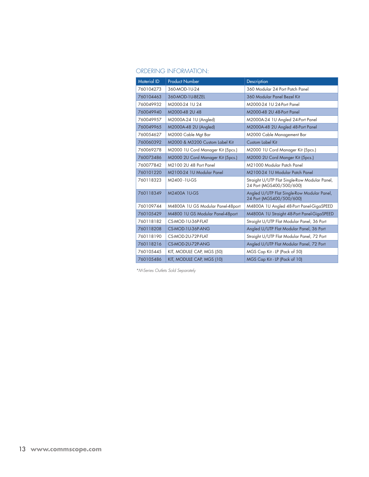#### Ordering Information:

| <b>Material ID</b> | <b>Product Number</b>             | Description                                                               |
|--------------------|-----------------------------------|---------------------------------------------------------------------------|
| 760104273          | 360-MOD-1U-24                     | 360 Modular 24 Port Patch Panel                                           |
| 760104463          | 360-MOD-1U-BEZEL                  | 360 Modular Panel Bezel Kit                                               |
| 760049932          | M2000-24 1U 24                    | M2000-24 1U 24-Port Panel                                                 |
| 760049940          | M2000-48 2U 48                    | M2000-48 2U 48-Port Panel                                                 |
| 760049957          | M2000A-24 1U (Angled)             | M2000A-24 1U Angled 24-Port Panel                                         |
| 760049965          | M2000A-48 2U (Angled)             | M2000A-48 2U Angled 48-Port Panel                                         |
| 760054627          | M2000 Cable Mat Bar               | M2000 Cable Management Bar                                                |
| 760060392          | M2000 & M3200 Custom Label Kit    | <b>Custom Label Kit</b>                                                   |
| 760069278          | M2000 1U Cord Manager Kit (5pcs.) | M2000 1U Cord Manager Kit (5pcs.)                                         |
| 760073486          | M2000 2U Cord Manager Kit (5pcs.) | M2000 2U Cord Manger Kit (5pcs.)                                          |
| 760077842          | M2100 2U 48 Port Panel            | M21000 Modular Patch Panel                                                |
| 760101220          | M2100-24 1U Modular Panel         | M2100-24 1U Modular Patch Panel                                           |
| 760118323          | M2400-1U-GS                       | Straight U/UTP Flat Single-Row Modular Panel,<br>24 Port (MGS400/500/600) |
| 760118349          | M2400A 1U-GS                      | Angled U/UTP Flat Single-Row Modular Panel,<br>24 Port (MGS400/500/600)   |
| 760109744          | M4800A 1U GS Modular Panel-48port | M4800A 1U Angled 48-Port Panel-GigaSPEED                                  |
| 760105429          | M4800 1U GS Modular Panel-48port  | M4800A 1U Straight 48-Port Panel-GigaSPEED                                |
| 760118182          | CS-MOD-1U-36P-FLAT                | Straight U/UTP Flat Modular Panel, 36 Port                                |
| 760118208          | CS-MOD-1U-36P-ANG                 | Angled U/UTP Flat Modular Panel, 36 Port                                  |
| 760118190          | CS-MOD-2U-72P-FLAT                | Straight U/UTP Flat Modular Panel, 72 Port                                |
| 760118216          | CS-MOD-2U-72P-ANG                 | Angled U/UTP Flat Modular Panel, 72 Port                                  |
| 760105445          | KIT, MODULE CAP, MGS (50)         | MGS Cap Kit - LP (Pack of 50)                                             |
| 760105486          | KIT, MODULE CAP, MGS (10)         | MGS Cap Kit - LP (Pack of 10)                                             |

*\*M-Series Outlets Sold Separately*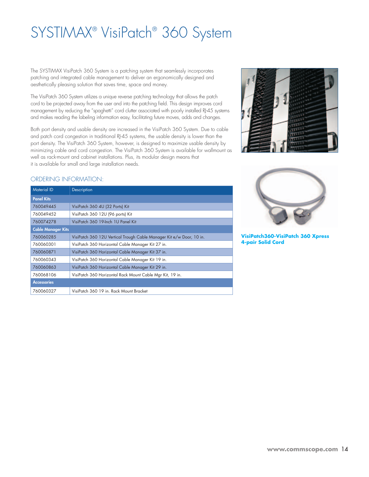## SYSTIMAX® VisiPatch® 360 System

The SYSTIMAX VisiPatch 360 System is a patching system that seamlessly incorporates patching and integrated cable management to deliver an ergonomically designed and aesthetically pleasing solution that saves time, space and money.

The VisiPatch 360 System utilizes a unique reverse patching technology that allows the patch cord to be projected away from the user and into the patching field. This design improves cord management by reducing the "spaghetti" cord clutter associated with poorly installed RJ-45 systems and makes reading the labeling information easy, facilitating future moves, adds and changes.

Both port density and usable density are increased in the VisiPatch 360 System. Due to cable and patch cord congestion in traditional RJ-45 systems, the usable density is lower than the port density. The VisiPatch 360 System, however, is designed to maximize usable density by minimizing cable and cord congestion. The VisiPatch 360 System is available for wallmount as well as rack-mount and cabinet installations. Plus, its modular design means that it is available for small and large installation needs.

#### Ordering Information:

| Description                                                          |  |  |
|----------------------------------------------------------------------|--|--|
|                                                                      |  |  |
| VisiPatch 360 4U (32 Ports) Kit                                      |  |  |
| VisiPatch 360 12U (96 ports) Kit                                     |  |  |
| VisiPatch 360 19-Inch 1U Panel Kit                                   |  |  |
| <b>Cable Manager Kits</b>                                            |  |  |
| VisiPatch 360 12U Vertical Trough Cable Manager Kit e/w Door, 10 in. |  |  |
| VisiPatch 360 Horizontal Cable Manager Kit 27 in.                    |  |  |
| VisiPatch 360 Horizontal Cable Manager Kit 37 in.                    |  |  |
| VisiPatch 360 Horizontal Cable Manager Kit 19 in.                    |  |  |
| VisiPatch 360 Horizontal Cable Manager Kit 29 in.                    |  |  |
| VisiPatch 360 Horizontal Rack Mount Cable Mar Kit, 19 in.            |  |  |
|                                                                      |  |  |
| VisiPatch 360 19 in. Rack Mount Bracket                              |  |  |
|                                                                      |  |  |





**VisiPatch360-VisiPatch 360 Xpress 4-pair Solid Cord**